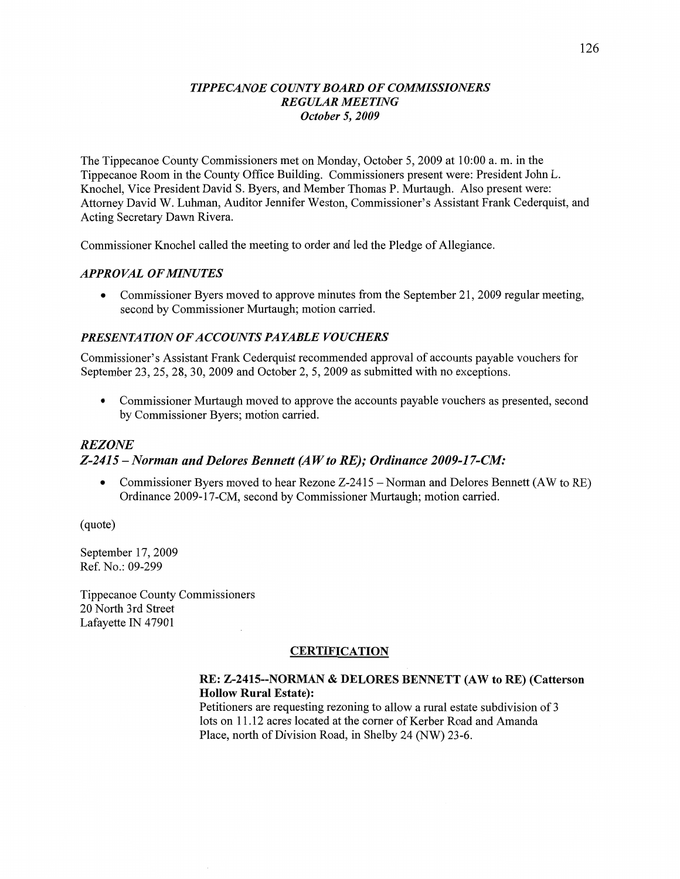#### *TIPPECANOE COUNTY BOARD* OF *COMMISSIONERS REGULAR MEETING October* 5, *2009*

The Tippecanoe COunty Commissioners met on Monday, October 5, 2009 at **10:00** a. m. in the Tippecanoe Room in the County Office Building. Commissioners present were: President John L. Knochel, **Vice** President David S. Byers, and Member Thomas P. Mmtaugh. Also present were: Attorney David W. **Luhman,** Auditor Jennifer Weston, Commissioner's Assistant Frank Cederquist, and Acting Secretary Dawn Rivera.

Commissioner Knochel called the meeting to order and led the Pledge of Allegiance.

#### *APPROVAL* OF *MINUTES*

• Commissioner Byers moved to approve minutes from the September 21, 2009 regular meeting, second by Commissioner Murtaugh; motion carried.

#### *PRESENTATION* OF *ACCOUNTS* PA *YABLE VOUCHERS*

Commissioner's Assistant Frank Cederquist recommended approval of accounts payable vouchers for September 23, 25, 28, 30, 2009 and October 2, 5, 2009 as submitted with no exceptions.

**0** Commissioner Murtaugh moved to approve the accounts payable vouchers as presented, second by Commissioner Byers; **motion** carried.

### *REZONE Z-2415 — Norman* and *Delores Bennett* (A Wto *RE); Ordinance 2009-1 7-CM*

**0** Commissioner Byers moved to hear Rezone Z-2415 — Norman and Delores Bennett (AW to RE) Ordinance 2009-l7-CM, second by Commissioner Murtaugh; **motion** carried.

(quote)

September 17, 2009 Ref. No.: 09-299

Tippecanoe County Commissioners 20 North 3rd Street Lafayette IN 47901

#### **CERTIFICATION**

#### RE: **Z-2415-NORMAN** *&* **DELORES BENNETT** (AW to RE) **(Catterson Hollow Rural Estate):**

Petitioners are requesting rezoning to allow a rural estate subdivision of 3 lots on 11.12 acres located at the corner of Kerber **Road** and Amanda Place, north of Division Road, in Shelby 24 (NW) 23-6.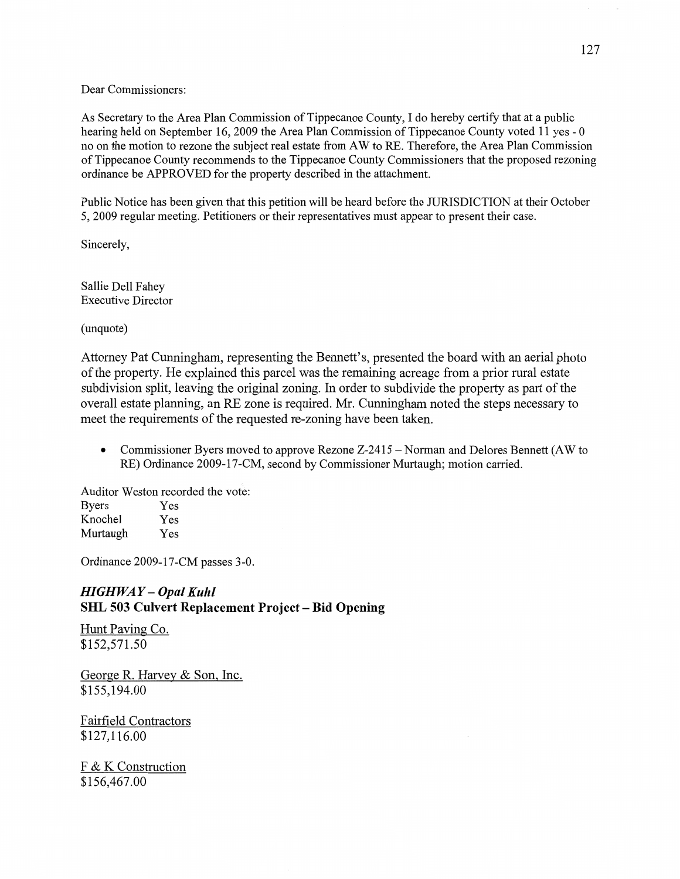Dear Commissioners:

As Secretary to the Area **Plan** Commission of Tippecanoe County, I do hereby certify **that** at a public hearing held on September 16, 2009 the Area Plan Commission of Tippecanoe County voted 11 yes *-* **0**  no on the motion to rezone the subject real estate from AW to RE. Therefore, the Area **Plan** Commission of Tippecanoe County recommends to the Tippecanoe County Commissioners that the proposed rezoning ordinance be APPROVED for the property described in the **attachment.** 

Public Notice has been given that **this** petition will be heard before the JURISDICTION at their October 5, 2009 regular meeting. Petitioners or **their** representatives **must** appear to present their case.

Sincerely,

Sallie Dell Fahey Executive Director

(unquote)

Attorney Pat Cunningham, representing the Bennett's, presented the board with an aerial photo of the property. He explained this parcel was the remaining acreage from a prior rural estate subdivision split, leaving the original **zoning.** In order to subdivide the property as part of the overall estate **planning,** an RE zone is required. Mr. Cunningham noted the steps necessary to meet the requirements of the requested re-zoning have been taken.

• Commissioner Byers moved to approve Rezone Z-2415 – Norman and Delores Bennett (AW to RE) Ordinance 2009-17-CM, second by Commissioner Murtaugh; **motion** carried.

**Auditor** Weston recorded the voté: Byers Yes Knochel Yes Murtaugh Yes

Ordinance 2009-17—CM passes 3-0.

## *HIGHWAY* **—** *Opal Kuhl*  SHL 503 **Culvert Replacement Project** — Bid Opening

Hunt Paving Co. \$152,571.50

George R. Harvey & Son, Inc. \$155,194.00

Fairfield Contractors \$127,l 16.00

F & K Construction \$156,467.00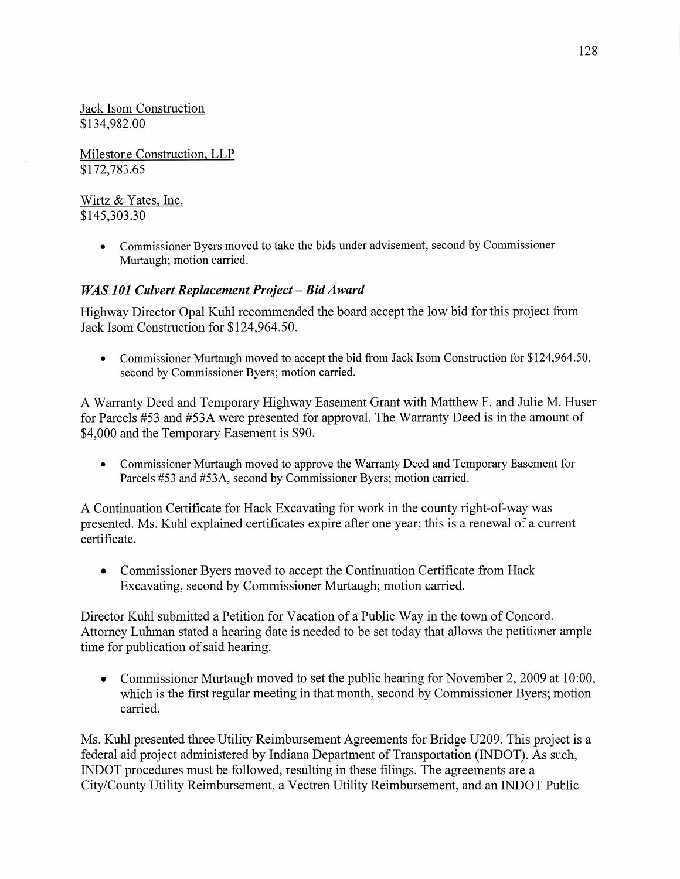Jack Isom Construction \$134,982.00

Milestone Construction. LLP \$172,783.65

Wirtz & Yates, Inc. \$145,303.30

> **0** Commissioner Byers moved to take the bids under advisement, second by Commissioner Murtaugh; motion carried.

# WAS 101 *Culvert Replacement Project* **—** Bid *Award*

Highway Director Opal Kuhl recommended the board accept the low bid for this project from Jack Isom Construction for \$124,964.50.

**<sup>0</sup>**Commissioner Murtaugh **moved** to accept the bid from Jack Isom Construction for \$124,964.50, second by Commissioner Byers; motion carried.

A Warranty Deed and Temporary Highway Easement Grant with Matthew F. and Julie M. Huser for Parcels #53 and #53A were presented for approval. The Warranty Deed is in the amount of \$4,000 and the Temporary Easement is \$90.

**0** Commissioner Murtaugh moved to approve the Warranty Deed and Temporary Easement for Parcels #53 and #53A, second by Commissioner Byers; motion carried.

A Continuation Certificate for Hack Excavating for work in the county right-of-way was presented. Ms. Kuhl explained certificates expire after one year; this is a renewal of a current certificate.

**0** Commissioner Byers moved to accept the Continuation Certificate from Hack Excavating, second by Commissioner Murtaugh; motion carried.

Director Kuhl submitted a Petition for Vacation of a Public Way in the town of Concord. Attorney Luhman stated a hearing date is needed to be set today that allows the petitioner ample time for publication of said hearing.

• Commissioner Murtaugh moved to set the public hearing for November 2, 2009 at 10:00, which is the first regular meeting in that month, second by Commissioner Byers; motion carried.

Ms. Kuhl presented three Utility Reimbursement Agreements for Bridge U209. This project is a federal aid project administered by Indiana Department of Transportation (INDOT). As such, INDOT procedures must be followed, resulting in these filings. The agreements are a City/County Utility Reimbursement, a Vectren Utility Reimbursement, and an INDOT Public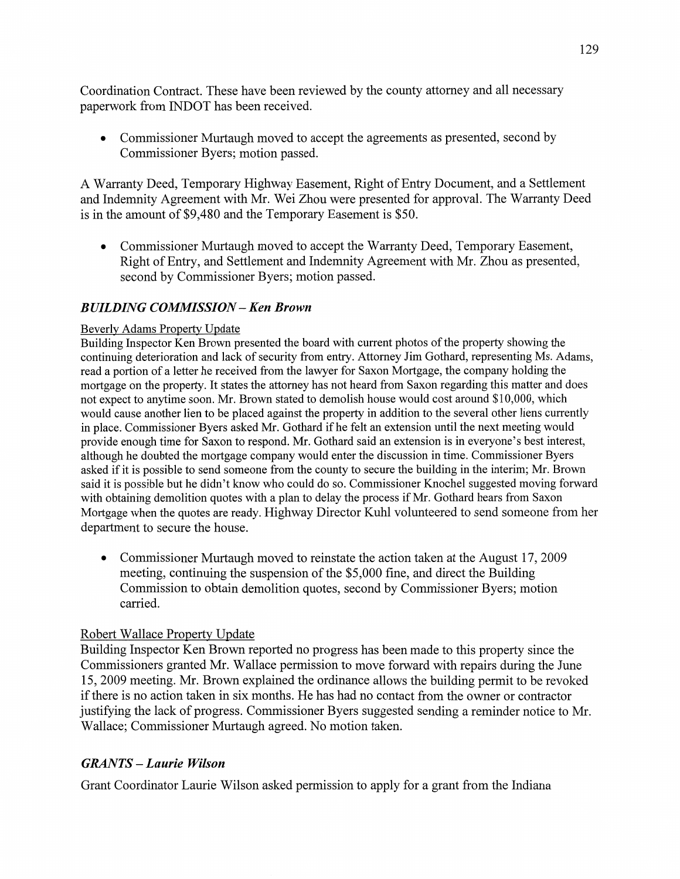Coordination Contract. These have been reviewed by the county attorney and all necessary paperwork from INDOT has been received.

**0** Commissioner Murtaugh moved to accept the agreements as presented, second by Commissioner Byers; motion passed.

**<sup>A</sup>**Warranty Deed, Temporary Highway Easement, Right of Entry Document, and a Settlement and Indemnity Agreement with Mr. Wei Zhou were presented for approval. The Warranty Deed is in the amount of \$9,480 and the Temporary Easement is \$50.

**0** Commissioner Murtaugh moved to accept the Warranty Deed, Temporary Easement, Right of Entry, and Settlement and Indemnity Agreement with Mr. Zhou as presented, second by Commissioner Byers; motion passed.

## *BUILDING COMMISSION* **—** Ken *Brown*

### Beverlv Adams Propertv Update

Building Inspector Ken Brown presented the board with current photos of the property showing the continuing deterioration and lack of security from entry. Attorney Jim Gothard, representing Ms. Adams, read a portion of a letter he received from the lawyer for Saxon Mortgage, the company holding the mortgage on the property. It states the attorney has not heard from Saxon regarding this matter and does not expect to anytime soon. Mr. Brown stated to demolish house would cost around \$10,000, which would cause another lien to be placed against the property in addition to the several other liens currently in place. Commissioner Byers asked Mr. Gothard if he felt an extension until the next meeting would provide enough time for **Saxon** to respond. Mr. Gothard said an extension is in everyone's best interest, although he doubted the mortgage company would enter the discussion in time. Commissioner Byers asked if it is possible to send someone from the county to secure the building in the interim; Mr. Brown said it is possible but he didn't know who could do so. Commissioner Knochel suggested moving forward with obtaining demolition quotes with a plan to delay the process if Mr. Gothard hears from Saxon Mortgage when the quotes are ready. Highway Director Kuhl volunteered to send someone from her department to secure the house.

**0** Commissioner Murtaugh moved to reinstate the action taken at the August 17, 2009 meeting, continuing the suspension of the \$5,000 fine, and direct the Building Commission to obtain demolition quotes, second by Commissioner Byers; motion carried.

### Robert Wallace Property Update

Building Inspector Ken Brown reported no progress has been made to this property **since** the Commissioners granted Mr. Wallace permission to move forward With repairs during the June 15, 2009 meeting. Mr. Brown explained the ordinance allows the building permit to be revoked if there is no action taken in six months. He has had no contact from the owner or contractor justifying the lack of progress. Commissioner Byers suggested sending a reminder notice to Mr. Wallace; Commissioner Murtaugh agreed. No motion taken.

### *GRANTS* — *Laurie Wilson*

Grant Coordinator Laurie Wilson asked permission to apply for a grant from the Indiana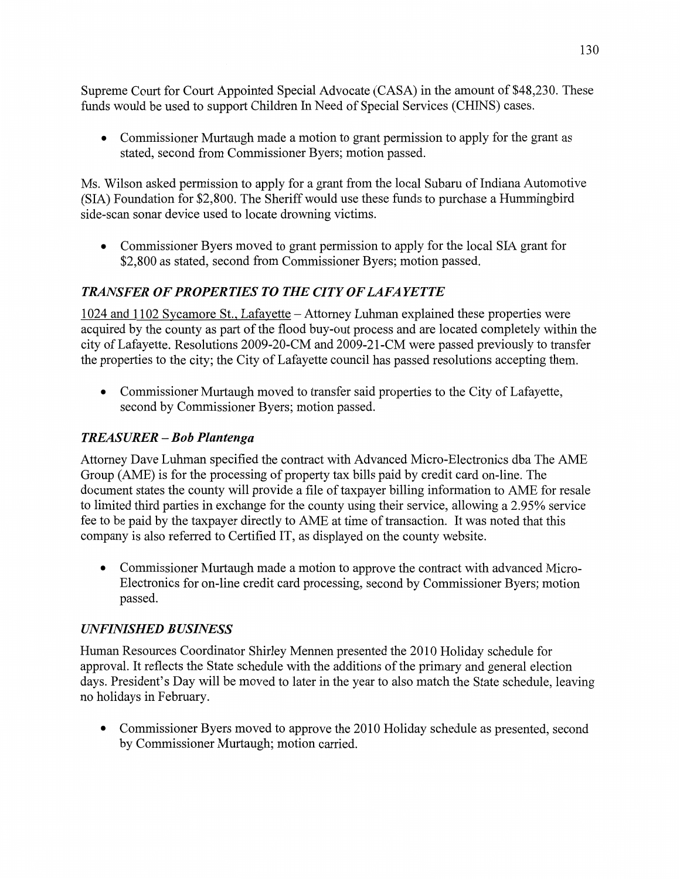Supreme Court for Court Appointed Special Advocate (CASA) in the amount of \$48,230. These funds would be used to support Children In Need of Special Services (CHINS) cases.

*0* Commissioner Muftaugh made a motion to grant **permission** to apply for the grant as stated, second from Commissioner Byers; motion passed.

Ms. **Wilson** asked **permission** to apply for a grant from the local Subaru of **Indiana** Automotive **(SIA)** Foundation for \$2,800. The **Sheriff** would use these **funds** to purchase a Hummingbird side-scan sonar device used to locate drowning victims.

**0** Commissioner Byers moved to grant permission to apply for the local SIA grant for \$2,800 as stated, second from Commissioner Byers; motion passed.

# *TRANSFER* OF *PROPERTIES T 0* THE *CITY* OF *LAFAYETTE*

1024 and 1102 Sycamore St, Lafayette *—* Attorney Luhman explained these properties were acquired by the county as part of the flood buy-out process and are located completely within the city of Lafayette. Resolutions 2009-20-CM and 2009-21-CM were passed previously to transfer the properties to the city; the City of Lafayette council has passed resolutions accepting them.

*0* Commissioner Murtaugh moved to transfer said properties to the City of Lafayette, second by Commissioner Byers; **motion** passed.

# *TREASURER* **—** Bob *Plantenga*

Attorney Dave Luhman specified the contract With Advanced Micro-Electronics dba The AME Group (AME) is for the processing of property tax bills paid by credit card **on-line.** The document states the county will provide **a** file of taxpayer billing information to AME for resale to limited **third** parties in exchange for the county using their service, allowing a 2.95% service fee to be paid by the taxpayer directly to AME at time of transaction. It was noted that this company is also referred to Certified IT, as displayed on the county website.

**0** Commissioner Murtaugh made a motion to approve the contract with advanced Micro-Electronics for on-line credit card processing, second by Commissioner Byers; **motion**  passed.

# *UNFINISHED BUSINESS*

Human Resources Coordinator Shirley **Mennen** presented the 2010 Holiday schedule for approval. It reflects the State schedule with the additions of the primary and general election days. President's Day will be moved to later in the year to also match the State schedule, leaving no holidays in February.

**0** Commissioner Byers moved to approve the 2010 Holiday schedule as presented, **second**  by Commissioner Murtaugh; motion carried.